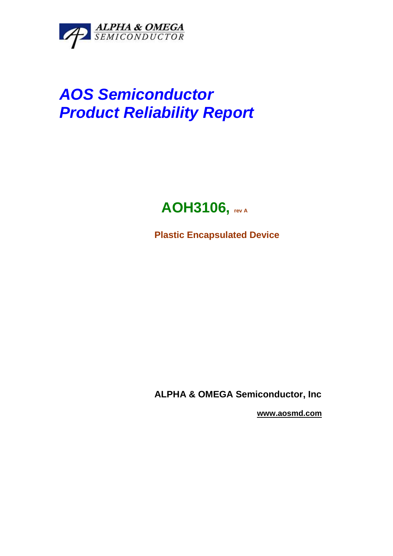

# **AOS Semiconductor Product Reliability Report**

# **AOH3106, rev A**

**Plastic Encapsulated Device** 

**ALPHA & OMEGA Semiconductor, Inc** 

 **www.aosmd.com**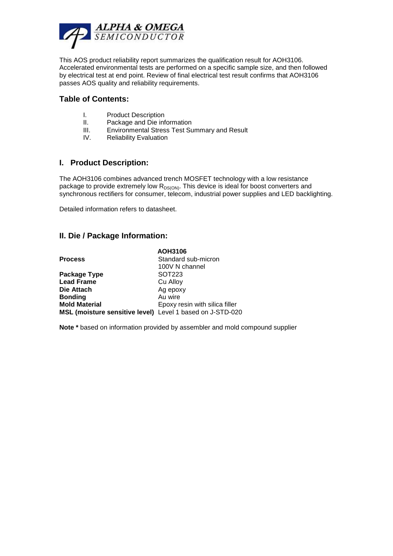

This AOS product reliability report summarizes the qualification result for AOH3106. Accelerated environmental tests are performed on a specific sample size, and then followed by electrical test at end point. Review of final electrical test result confirms that AOH3106 passes AOS quality and reliability requirements.

#### **Table of Contents:**

- I. Product Description
- II. Package and Die information
- III. Environmental Stress Test Summary and Result
- IV. Reliability Evaluation

#### **I. Product Description:**

The AOH3106 combines advanced trench MOSFET technology with a low resistance package to provide extremely low  $R_{DS(ON)}$ . This device is ideal for boost converters and synchronous rectifiers for consumer, telecom, industrial power supplies and LED backlighting.

Detailed information refers to datasheet.

#### **II. Die / Package Information:**

|                                                           | <b>AOH3106</b>                 |
|-----------------------------------------------------------|--------------------------------|
| <b>Process</b>                                            | Standard sub-micron            |
|                                                           | 100V N channel                 |
| Package Type                                              | SOT223                         |
| <b>Lead Frame</b>                                         | Cu Alloy                       |
| Die Attach                                                | Ag epoxy                       |
| <b>Bonding</b>                                            | Au wire                        |
| <b>Mold Material</b>                                      | Epoxy resin with silica filler |
| MSL (moisture sensitive level) Level 1 based on J-STD-020 |                                |

**Note \*** based on information provided by assembler and mold compound supplier